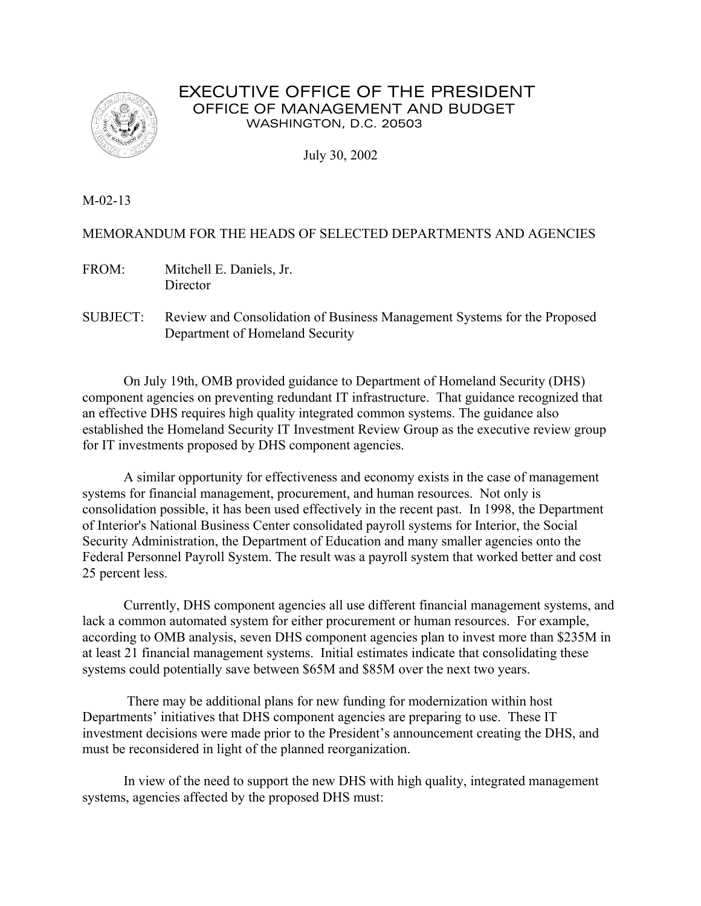

# EXECUTIVE OFFICE OF THE PRESIDENT OFFICE OF MANAGEMENT AND BUDGET WASHINGTON, D.C. 20503

July 30, 2002

M-02-13

## MEMORANDUM FOR THE HEADS OF SELECTED DEPARTMENTS AND AGENCIES

FROM: Mitchell E. Daniels, Jr. **Director** 

SUBJECT: Review and Consolidation of Business Management Systems for the Proposed Department of Homeland Security

On July 19th, OMB provided guidance to Department of Homeland Security (DHS) component agencies on preventing redundant IT infrastructure. That guidance recognized that an effective DHS requires high quality integrated common systems. The guidance also established the Homeland Security IT Investment Review Group as the executive review group for IT investments proposed by DHS component agencies.

A similar opportunity for effectiveness and economy exists in the case of management systems for financial management, procurement, and human resources. Not only is consolidation possible, it has been used effectively in the recent past. In 1998, the Department of Interior's National Business Center consolidated payroll systems for Interior, the Social Security Administration, the Department of Education and many smaller agencies onto the Federal Personnel Payroll System. The result was a payroll system that worked better and cost 25 percent less.

Currently, DHS component agencies all use different financial management systems, and lack a common automated system for either procurement or human resources. For example, according to OMB analysis, seven DHS component agencies plan to invest more than \$235M in at least 21 financial management systems. Initial estimates indicate that consolidating these systems could potentially save between \$65M and \$85M over the next two years.

 There may be additional plans for new funding for modernization within host Departments' initiatives that DHS component agencies are preparing to use. These IT investment decisions were made prior to the President's announcement creating the DHS, and must be reconsidered in light of the planned reorganization.

In view of the need to support the new DHS with high quality, integrated management systems, agencies affected by the proposed DHS must: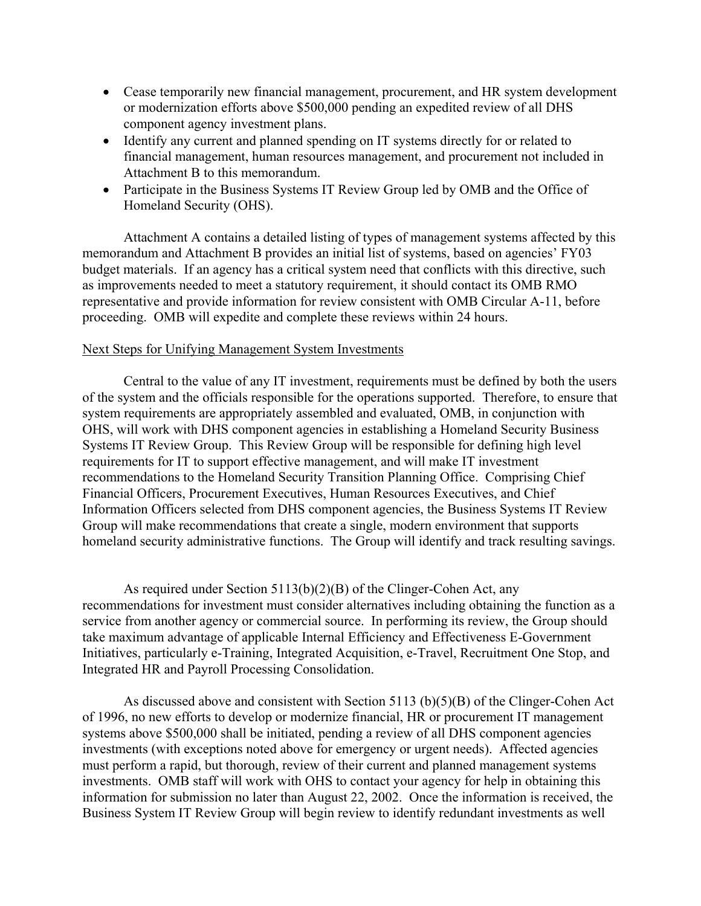- Cease temporarily new financial management, procurement, and HR system development or modernization efforts above \$500,000 pending an expedited review of all DHS component agency investment plans.
- Identify any current and planned spending on IT systems directly for or related to financial management, human resources management, and procurement not included in Attachment B to this memorandum.
- Participate in the Business Systems IT Review Group led by OMB and the Office of Homeland Security (OHS).

Attachment A contains a detailed listing of types of management systems affected by this memorandum and Attachment B provides an initial list of systems, based on agencies' FY03 budget materials. If an agency has a critical system need that conflicts with this directive, such as improvements needed to meet a statutory requirement, it should contact its OMB RMO representative and provide information for review consistent with OMB Circular A-11, before proceeding. OMB will expedite and complete these reviews within 24 hours.

#### Next Steps for Unifying Management System Investments

 Central to the value of any IT investment, requirements must be defined by both the users of the system and the officials responsible for the operations supported. Therefore, to ensure that system requirements are appropriately assembled and evaluated, OMB, in conjunction with OHS, will work with DHS component agencies in establishing a Homeland Security Business Systems IT Review Group. This Review Group will be responsible for defining high level requirements for IT to support effective management, and will make IT investment recommendations to the Homeland Security Transition Planning Office. Comprising Chief Financial Officers, Procurement Executives, Human Resources Executives, and Chief Information Officers selected from DHS component agencies, the Business Systems IT Review Group will make recommendations that create a single, modern environment that supports homeland security administrative functions. The Group will identify and track resulting savings.

As required under Section 5113(b)(2)(B) of the Clinger-Cohen Act, any recommendations for investment must consider alternatives including obtaining the function as a service from another agency or commercial source. In performing its review, the Group should take maximum advantage of applicable Internal Efficiency and Effectiveness E-Government Initiatives, particularly e-Training, Integrated Acquisition, e-Travel, Recruitment One Stop, and Integrated HR and Payroll Processing Consolidation.

As discussed above and consistent with Section 5113 (b)(5)(B) of the Clinger-Cohen Act of 1996, no new efforts to develop or modernize financial, HR or procurement IT management systems above \$500,000 shall be initiated, pending a review of all DHS component agencies investments (with exceptions noted above for emergency or urgent needs). Affected agencies must perform a rapid, but thorough, review of their current and planned management systems investments. OMB staff will work with OHS to contact your agency for help in obtaining this information for submission no later than August 22, 2002. Once the information is received, the Business System IT Review Group will begin review to identify redundant investments as well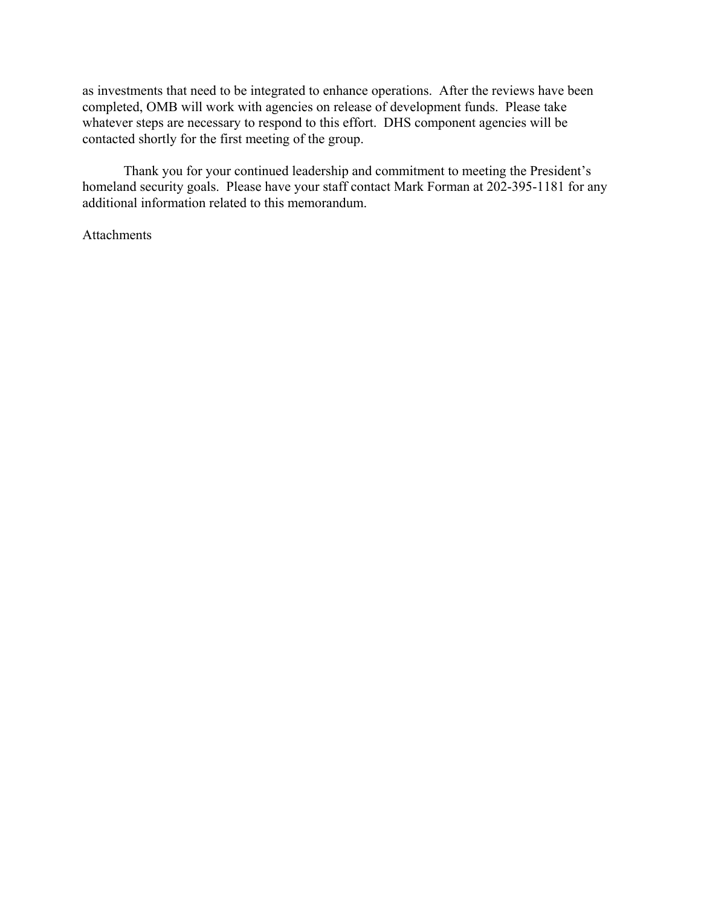as investments that need to be integrated to enhance operations. After the reviews have been completed, OMB will work with agencies on release of development funds. Please take whatever steps are necessary to respond to this effort. DHS component agencies will be contacted shortly for the first meeting of the group.

Thank you for your continued leadership and commitment to meeting the President's homeland security goals. Please have your staff contact Mark Forman at 202-395-1181 for any additional information related to this memorandum.

#### **Attachments**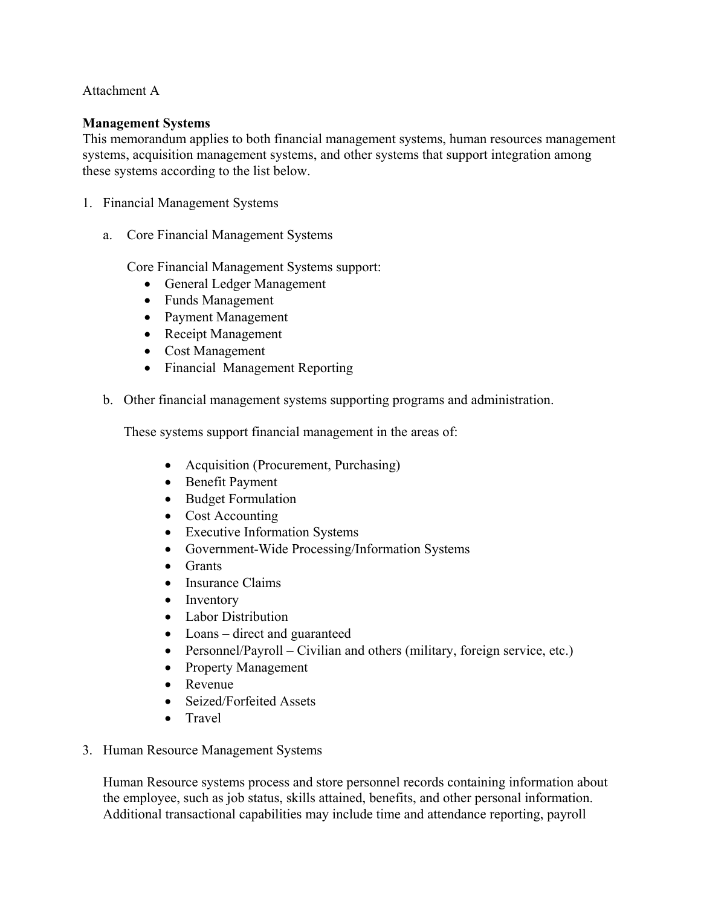### Attachment A

#### **Management Systems**

This memorandum applies to both financial management systems, human resources management systems, acquisition management systems, and other systems that support integration among these systems according to the list below.

- 1. Financial Management Systems
	- a. Core Financial Management Systems

Core Financial Management Systems support:

- General Ledger Management
- Funds Management
- Payment Management
- Receipt Management
- Cost Management
- Financial Management Reporting
- b. Other financial management systems supporting programs and administration.

These systems support financial management in the areas of:

- Acquisition (Procurement, Purchasing)
- Benefit Payment
- Budget Formulation
- Cost Accounting
- Executive Information Systems
- Government-Wide Processing/Information Systems
- Grants
- Insurance Claims
- Inventory
- Labor Distribution
- Loans direct and guaranteed
- Personnel/Payroll Civilian and others (military, foreign service, etc.)
- Property Management
- Revenue
- Seized/Forfeited Assets
- Travel
- 3. Human Resource Management Systems

Human Resource systems process and store personnel records containing information about the employee, such as job status, skills attained, benefits, and other personal information. Additional transactional capabilities may include time and attendance reporting, payroll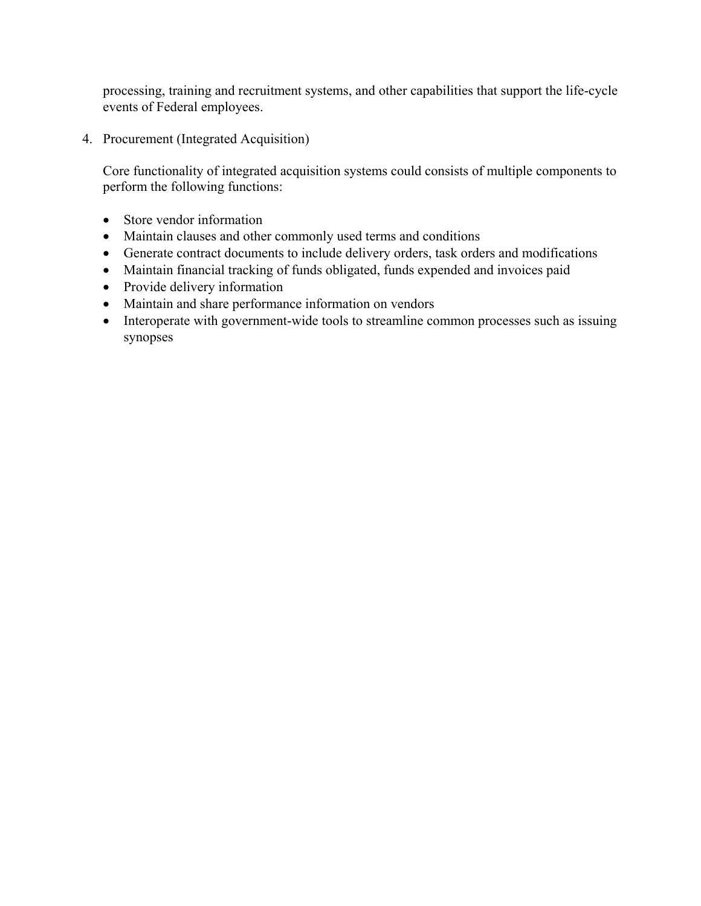processing, training and recruitment systems, and other capabilities that support the life-cycle events of Federal employees.

4. Procurement (Integrated Acquisition)

Core functionality of integrated acquisition systems could consists of multiple components to perform the following functions:

- Store vendor information
- Maintain clauses and other commonly used terms and conditions
- Generate contract documents to include delivery orders, task orders and modifications
- Maintain financial tracking of funds obligated, funds expended and invoices paid
- Provide delivery information
- Maintain and share performance information on vendors
- Interoperate with government-wide tools to streamline common processes such as issuing synopses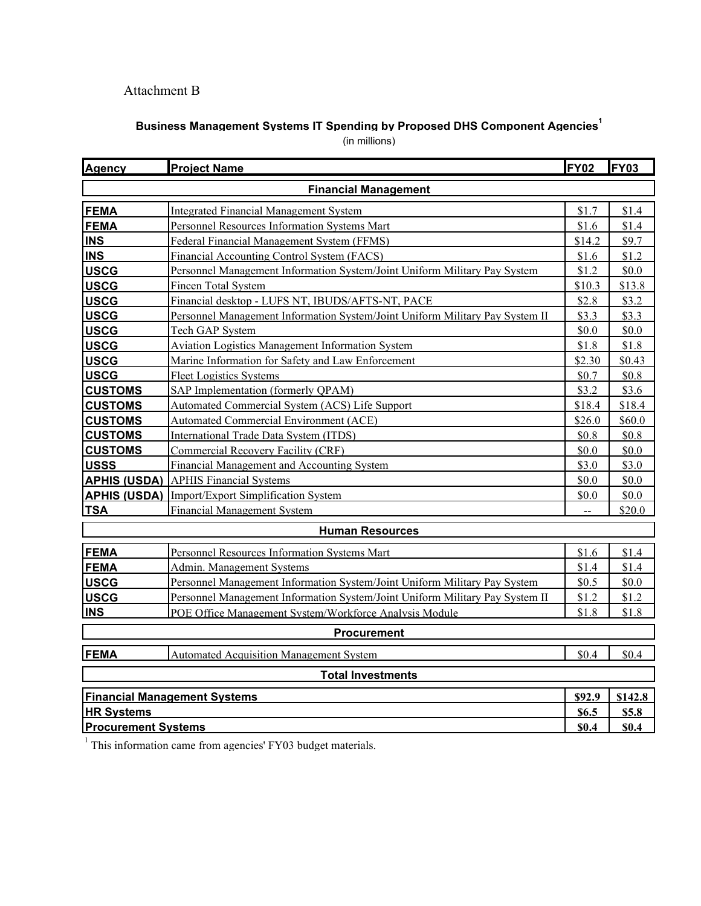# Attachment B

# **Business Management Systems IT Spending by Proposed DHS Component Agencies1**

(in millions)

| <b>Agency</b>                       | <b>Project Name</b>                                                          | <b>FY02</b> | FY03    |
|-------------------------------------|------------------------------------------------------------------------------|-------------|---------|
| <b>Financial Management</b>         |                                                                              |             |         |
| <b>FEMA</b>                         | <b>Integrated Financial Management System</b>                                | \$1.7       | \$1.4   |
| <b>FEMA</b>                         | Personnel Resources Information Systems Mart                                 | \$1.6       | \$1.4   |
| <b>INS</b>                          | Federal Financial Management System (FFMS)                                   | \$14.2      | \$9.7   |
| <b>INS</b>                          | Financial Accounting Control System (FACS)                                   | \$1.6       | \$1.2   |
| <b>USCG</b>                         | Personnel Management Information System/Joint Uniform Military Pay System    | \$1.2       | \$0.0   |
| <b>USCG</b>                         | <b>Fincen Total System</b>                                                   | \$10.3      | \$13.8  |
| <b>USCG</b>                         | Financial desktop - LUFS NT, IBUDS/AFTS-NT, PACE                             | \$2.8       | \$3.2   |
| <b>USCG</b>                         | Personnel Management Information System/Joint Uniform Military Pay System II | \$3.3       | \$3.3   |
| <b>USCG</b>                         | Tech GAP System                                                              | \$0.0       | \$0.0   |
| <b>USCG</b>                         | <b>Aviation Logistics Management Information System</b>                      | \$1.8       | \$1.8   |
| <b>USCG</b>                         | Marine Information for Safety and Law Enforcement                            | \$2.30      | \$0.43  |
| <b>USCG</b>                         | <b>Fleet Logistics Systems</b>                                               | \$0.7       | \$0.8   |
| <b>CUSTOMS</b>                      | SAP Implementation (formerly QPAM)                                           | \$3.2       | \$3.6   |
| <b>CUSTOMS</b>                      | Automated Commercial System (ACS) Life Support                               | \$18.4      | \$18.4  |
| <b>CUSTOMS</b>                      | Automated Commercial Environment (ACE)                                       | \$26.0      | \$60.0  |
| <b>CUSTOMS</b>                      | International Trade Data System (ITDS)                                       | \$0.8       | \$0.8   |
| <b>CUSTOMS</b>                      | Commercial Recovery Facility (CRF)                                           | \$0.0       | \$0.0   |
| <b>USSS</b>                         | Financial Management and Accounting System                                   | \$3.0       | \$3.0   |
|                                     | <b>APHIS (USDA)</b> APHIS Financial Systems                                  | \$0.0       | \$0.0   |
|                                     | <b>APHIS (USDA)</b> Import/Export Simplification System                      | \$0.0       | \$0.0   |
| <b>TSA</b>                          | <b>Financial Management System</b>                                           |             | \$20.0  |
| <b>Human Resources</b>              |                                                                              |             |         |
| <b>FEMA</b>                         | Personnel Resources Information Systems Mart                                 | \$1.6       | \$1.4   |
| <b>FEMA</b>                         | Admin. Management Systems                                                    | \$1.4       | \$1.4   |
| <b>USCG</b>                         | Personnel Management Information System/Joint Uniform Military Pay System    | \$0.5       | \$0.0   |
| <b>USCG</b>                         | Personnel Management Information System/Joint Uniform Military Pay System II | \$1.2       | \$1.2   |
| <b>INS</b>                          | POE Office Management System/Workforce Analysis Module                       | \$1.8       | \$1.8   |
| <b>Procurement</b>                  |                                                                              |             |         |
| FEMA                                | <b>Automated Acquisition Management System</b>                               | \$0.4       | \$0.4   |
| <b>Total Investments</b>            |                                                                              |             |         |
| <b>Financial Management Systems</b> |                                                                              | \$92.9      | \$142.8 |
| <b>HR Systems</b>                   |                                                                              | \$6.5       | \$5.8   |
| <b>Procurement Systems</b>          |                                                                              | \$0.4       | \$0.4   |

 $1$  This information came from agencies' FY03 budget materials.